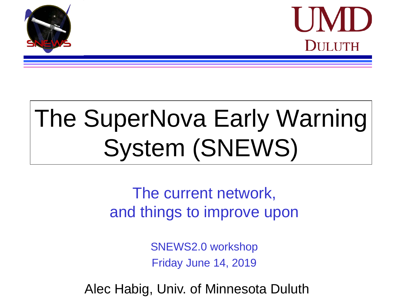



# The SuperNova Early Warning System (SNEWS)

 $\overline{a}$ hinge to impro externing to improve ap The current network, and things to improve upon

> SNEWS20 workshop SNEWS2.0 workshop Friday June 14, 2019

Alec Habig, Univ. of Minnesota Duluth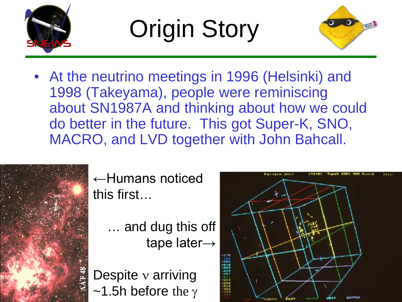

Origin Story



• At the neutrino meetings in 1996 (Helsinki) and 1998 (Takeyama), people were reminiscing about SN1987A and thinking about how we could do better in the future. This got Super-K, SNO, MACRO, and LVD together with John Bahcall.



←Humans noticed this first…

- … and dug this off tape later→
- Despite ν arriving  $\sim$ 1.5h before the γ

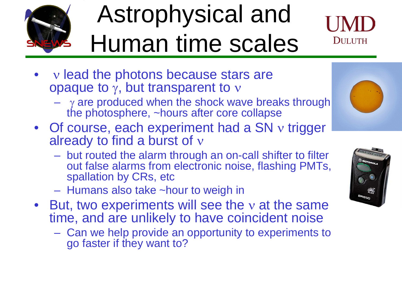

#### Astrophysical and Human time scales



- v lead the photons because stars are opaque to  $\gamma$ , but transparent to  $\nu$ 
	- $\gamma$  are produced when the shock wave breaks through the photosphere, ~hours after core collapse
- Of course, each experiment had a SN ν trigger already to find a burst of ν
	- but routed the alarm through an on-call shifter to filter out false alarms from electronic noise, flashing PMTs, spallation by CRs, etc
	- Humans also take ~hour to weigh in
- But, two experiments will see the v at the same time, and are unlikely to have coincident noise
	- Can we help provide an opportunity to experiments to go faster if they want to?

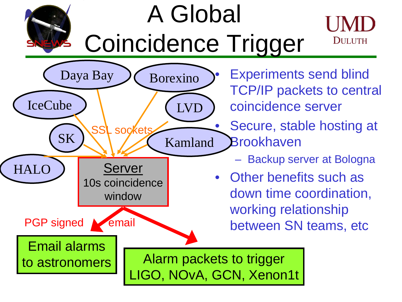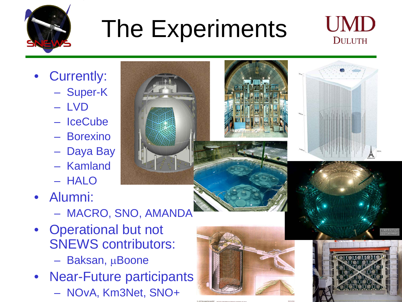

## The Experiments



- Currently:
	- Super-K
	- LVD
	- IceCube
	- Borexino
	- Daya Bay
	- Kamland
	- HALO
- Alumni:
	- MACRO, SNO, AMANDA
- Operational but not SNEWS contributors:
	- Baksan, µBoone
- Near-Future participants – NOvA, Km3Net, SNO+







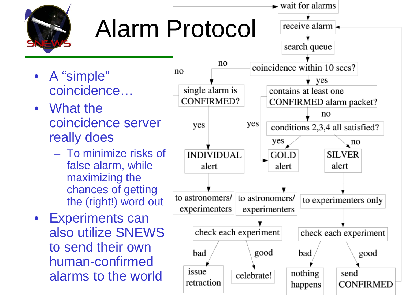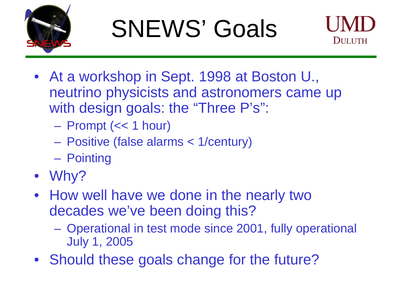

# SNEWS' Goals



- At a workshop in Sept. 1998 at Boston U., neutrino physicists and astronomers came up with design goals: the "Three P's":
	- Prompt (<< 1 hour)
	- Positive (false alarms < 1/century)
	- Pointing
- Why?
- How well have we done in the nearly two decades we've been doing this?
	- Operational in test mode since 2001, fully operational July 1, 2005
- Should these goals change for the future?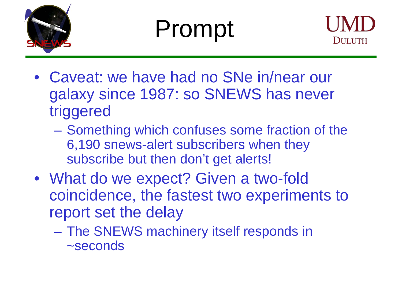

## Prompt



- Caveat: we have had no SNe in/near our galaxy since 1987: so SNEWS has never triggered
	- Something which confuses some fraction of the 6,190 snews-alert subscribers when they subscribe but then don't get alerts!
- What do we expect? Given a two-fold coincidence, the fastest two experiments to report set the delay
	- The SNEWS machinery itself responds in ~seconds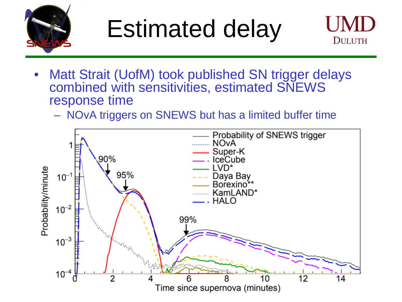

### Estimated delay



- Matt Strait (UofM) took published SN trigger delays combined with sensitivities, estimated SNEWS response time
	- NOvA triggers on SNEWS but has a limited buffer time

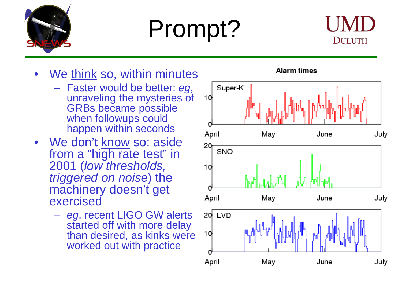

# Prompt?



- We think so, within minutes
	- Faster would be better: *eg*, unraveling the mysteries of GRBs became possible when followups could happen within seconds
- We don't know so: aside from a "high rate test" in 2001 (*low thresholds, triggered on noise*) the machinery doesn't get exercised
	- *eg*, recent LIGO GW alerts started off with more delay than desired, as kinks were worked out with practice

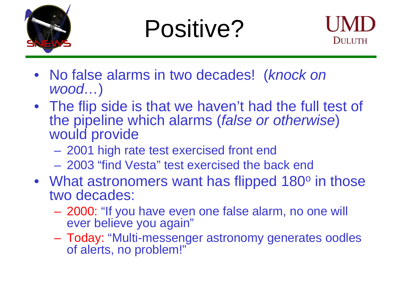

#### Positive?



- No false alarms in two decades! (*knock on wood…*)
- The flip side is that we haven't had the full test of the pipeline which alarms (*false or otherwise*) would provide
	- 2001 high rate test exercised front end
	- 2003 "find Vesta" test exercised the back end
- What astronomers want has flipped 180<sup>o</sup> in those two decades:
	- 2000: "If you have even one false alarm, no one will ever believe you again"
	- Today: "Multi-messenger astronomy generates oodles of alerts, no problem!"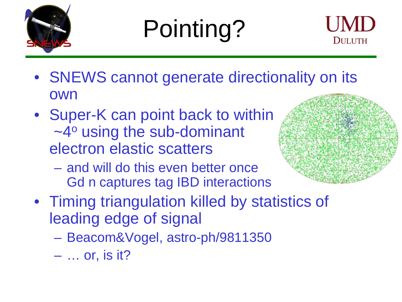

# Pointing?



- SNEWS cannot generate directionality on its own
- Super-K can point back to within  $\sim$ 4 $\circ$  using the sub-dominant electron elastic scatters
	- and will do this even better once Gd n captures tag IBD interactions



- Timing triangulation killed by statistics of leading edge of signal
	- Beacom&Vogel, astro-ph/9811350
	- … or, is it?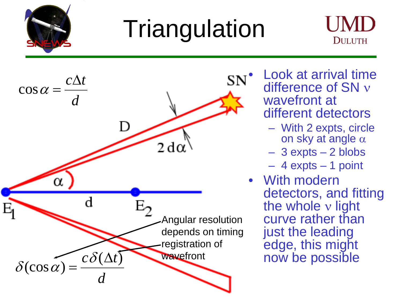

## **Triangulation**





• Look at arrival time difference of SN ν wavefront at different detectors

- With 2 expts, circle on sky at angle  $\alpha$
- 3 expts 2 blobs
- 4 expts 1 point
- With modern detectors, and fitting the whole  $v$  light curve rather than just the leading edge, this might now be possible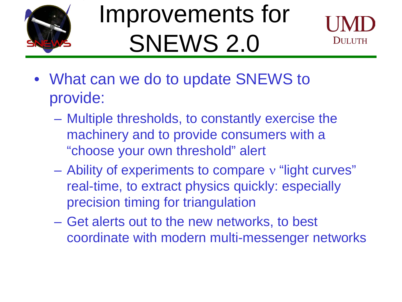

## Improvements for SNEWS 2.0



- What can we do to update SNEWS to provide:
	- Multiple thresholds, to constantly exercise the machinery and to provide consumers with a "choose your own threshold" alert
	- Ability of experiments to compare ν "light curves" real-time, to extract physics quickly: especially precision timing for triangulation
	- Get alerts out to the new networks, to best coordinate with modern multi-messenger networks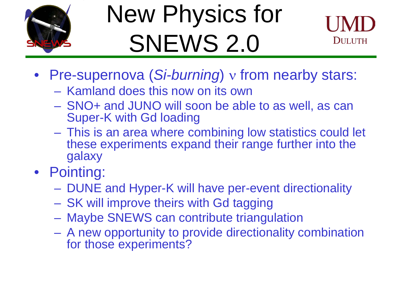

## New Physics for SNEWS 2.0



- Pre-supernova (*Si-burning*) ν from nearby stars:
	- Kamland does this now on its own
	- SNO+ and JUNO will soon be able to as well, as can Super-K with Gd loading
	- This is an area where combining low statistics could let these experiments expand their range further into the galaxy
- Pointing:
	- DUNE and Hyper-K will have per-event directionality
	- SK will improve theirs with Gd tagging
	- Maybe SNEWS can contribute triangulation
	- A new opportunity to provide directionality combination for those experiments?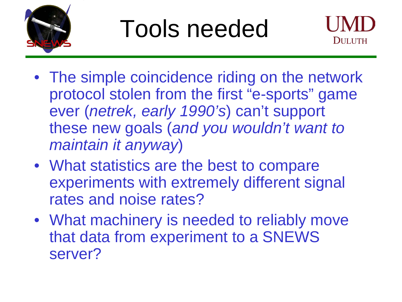

#### Tools needed



- The simple coincidence riding on the network protocol stolen from the first "e-sports" game ever (*netrek, early 1990's*) can't support these new goals (*and you wouldn't want to maintain it anyway*)
- What statistics are the best to compare experiments with extremely different signal rates and noise rates?
- What machinery is needed to reliably move that data from experiment to a SNEWS server?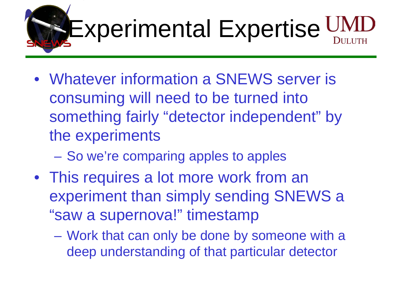

- Whatever information a SNEWS server is consuming will need to be turned into something fairly "detector independent" by the experiments
	- So we're comparing apples to apples
- This requires a lot more work from an experiment than simply sending SNEWS a "saw a supernova!" timestamp
	- Work that can only be done by someone with a deep understanding of that particular detector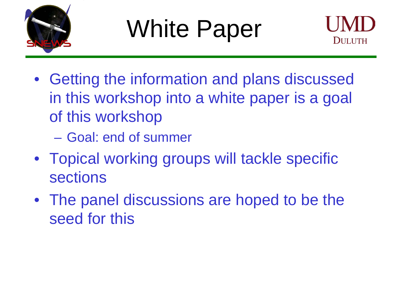

# White Paper



- Getting the information and plans discussed in this workshop into a white paper is a goal of this workshop
	- Goal: end of summer
- Topical working groups will tackle specific sections
- The panel discussions are hoped to be the seed for this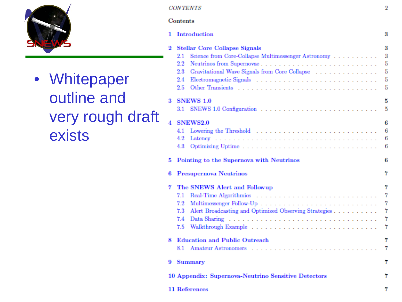

• Whitepaper

#### **CONTENTS**

 $\overline{2}$ 

#### Contents

|                            |    | Introduction                                                                                                                                                                                 | 3                          |
|----------------------------|----|----------------------------------------------------------------------------------------------------------------------------------------------------------------------------------------------|----------------------------|
| Whitepaper                 | 2  | <b>Stellar Core Collapse Signals</b><br>Science from Core-Collapse Multimessenger Astronomy<br>2.1<br>$2.2\,$<br>Gravitational Wave Signals from Core Collapse<br>$^{2.3}$<br>2.4<br>$2.5\,$ | 3<br>3<br>5<br>5<br>5<br>5 |
| outline and                | я  | <b>SNEWS 1.0</b>                                                                                                                                                                             | 5<br>5                     |
| very rough draft<br>exists |    | <b>SNEWS2.0</b><br>4.1<br>4.2<br>4.3                                                                                                                                                         | 6<br>6<br>6<br>6           |
|                            | 5. | Pointing to the Supernova with Neutrinos                                                                                                                                                     | 6                          |
|                            | 6  | Presupernova Neutrinos                                                                                                                                                                       | 7                          |
|                            | 7  | The SNEWS Alert and Followup<br>7.1<br>7.2<br>Alert Broadcasting and Optimized Observing Strategies<br>7.3<br>7.4<br>7.5                                                                     | 7<br>7<br>7<br>7<br>7      |
|                            | 8  | <b>Education and Public Outreach</b><br>8.1                                                                                                                                                  | 7                          |
|                            | 9. | <b>Summary</b>                                                                                                                                                                               | 7                          |
|                            |    | 10 Appendix: Supernova-Neutrino Sensitive Detectors                                                                                                                                          | 7                          |
|                            |    | 11 References                                                                                                                                                                                | 7                          |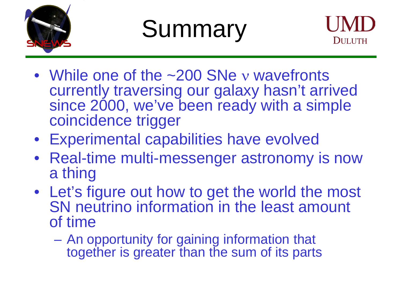

## **Summary**



- While one of the ~200 SNe y wavefronts currently traversing our galaxy hasn't arrived since 2000, we've been ready with a simple coincidence trigger
- Experimental capabilities have evolved
- Real-time multi-messenger astronomy is now a thing
- Let's figure out how to get the world the most SN neutrino information in the least amount of time
	- An opportunity for gaining information that together is greater than the sum of its parts